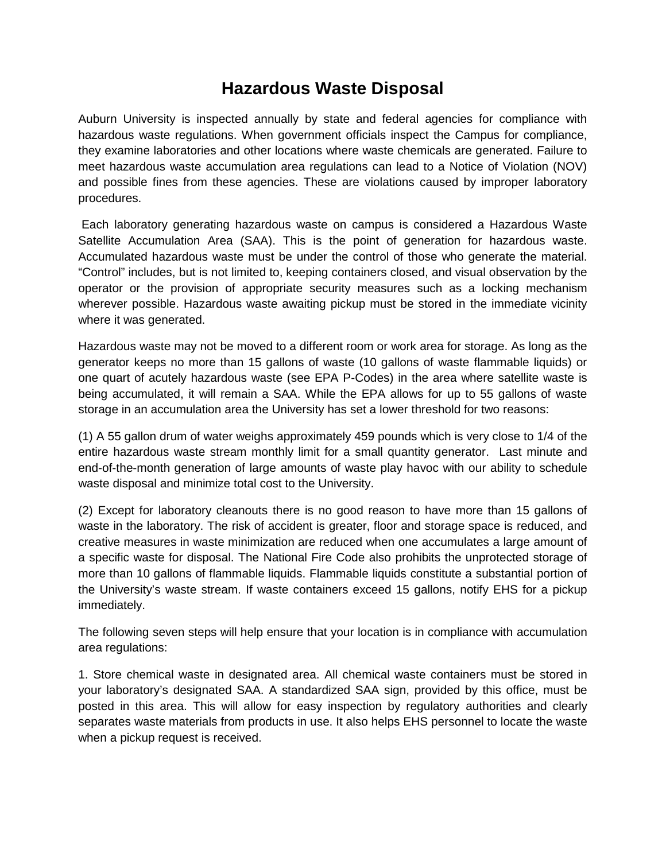# **Hazardous Waste Disposal**

Auburn University is inspected annually by state and federal agencies for compliance with hazardous waste regulations. When government officials inspect the Campus for compliance, they examine laboratories and other locations where waste chemicals are generated. Failure to meet hazardous waste accumulation area regulations can lead to a Notice of Violation (NOV) and possible fines from these agencies. These are violations caused by improper laboratory procedures.

Each laboratory generating hazardous waste on campus is considered a Hazardous Waste Satellite Accumulation Area (SAA). This is the point of generation for hazardous waste. Accumulated hazardous waste must be under the control of those who generate the material. "Control" includes, but is not limited to, keeping containers closed, and visual observation by the operator or the provision of appropriate security measures such as a locking mechanism wherever possible. Hazardous waste awaiting pickup must be stored in the immediate vicinity where it was generated.

Hazardous waste may not be moved to a different room or work area for storage. As long as the generator keeps no more than 15 gallons of waste (10 gallons of waste flammable liquids) or one quart of acutely hazardous waste (see EPA P-Codes) in the area where satellite waste is being accumulated, it will remain a SAA. While the EPA allows for up to 55 gallons of waste storage in an accumulation area the University has set a lower threshold for two reasons:

(1) A 55 gallon drum of water weighs approximately 459 pounds which is very close to 1/4 of the entire hazardous waste stream monthly limit for a small quantity generator. Last minute and end-of-the-month generation of large amounts of waste play havoc with our ability to schedule waste disposal and minimize total cost to the University.

(2) Except for laboratory cleanouts there is no good reason to have more than 15 gallons of waste in the laboratory. The risk of accident is greater, floor and storage space is reduced, and creative measures in waste minimization are reduced when one accumulates a large amount of a specific waste for disposal. The National Fire Code also prohibits the unprotected storage of more than 10 gallons of flammable liquids. Flammable liquids constitute a substantial portion of the University's waste stream. If waste containers exceed 15 gallons, notify EHS for a pickup immediately.

The following seven steps will help ensure that your location is in compliance with accumulation area regulations:

1. Store chemical waste in designated area. All chemical waste containers must be stored in your laboratory's designated SAA. A standardized SAA sign, provided by this office, must be posted in this area. This will allow for easy inspection by regulatory authorities and clearly separates waste materials from products in use. It also helps EHS personnel to locate the waste when a pickup request is received.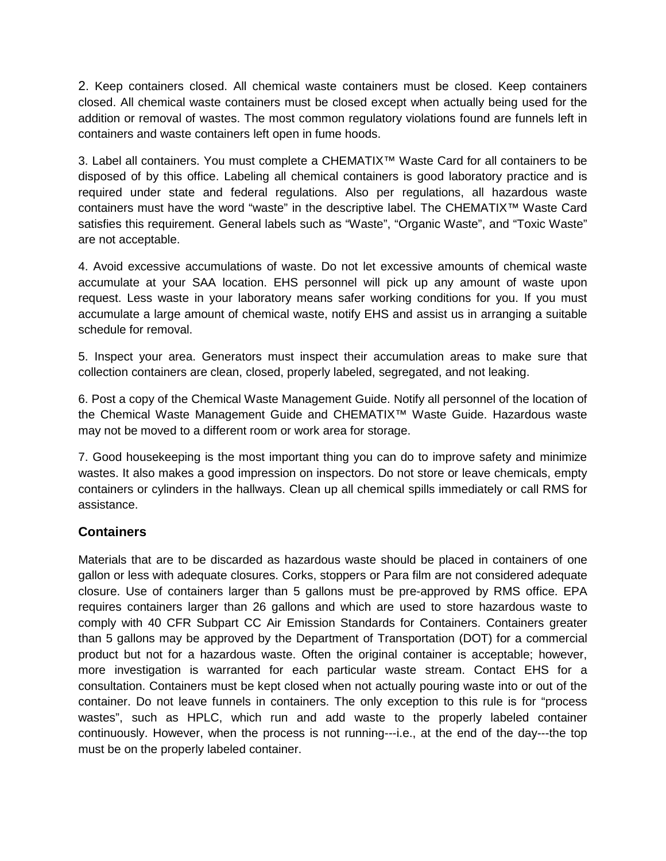2. Keep containers closed. All chemical waste containers must be closed. Keep containers closed. All chemical waste containers must be closed except when actually being used for the addition or removal of wastes. The most common regulatory violations found are funnels left in containers and waste containers left open in fume hoods.

3. Label all containers. You must complete a CHEMATIX™ Waste Card for all containers to be disposed of by this office. Labeling all chemical containers is good laboratory practice and is required under state and federal regulations. Also per regulations, all hazardous waste containers must have the word "waste" in the descriptive label. The CHEMATIX™ Waste Card satisfies this requirement. General labels such as "Waste", "Organic Waste", and "Toxic Waste" are not acceptable.

4. Avoid excessive accumulations of waste. Do not let excessive amounts of chemical waste accumulate at your SAA location. EHS personnel will pick up any amount of waste upon request. Less waste in your laboratory means safer working conditions for you. If you must accumulate a large amount of chemical waste, notify EHS and assist us in arranging a suitable schedule for removal.

5. Inspect your area. Generators must inspect their accumulation areas to make sure that collection containers are clean, closed, properly labeled, segregated, and not leaking.

6. Post a copy of the Chemical Waste Management Guide. Notify all personnel of the location of the Chemical Waste Management Guide and CHEMATIX™ Waste Guide. Hazardous waste may not be moved to a different room or work area for storage.

7. Good housekeeping is the most important thing you can do to improve safety and minimize wastes. It also makes a good impression on inspectors. Do not store or leave chemicals, empty containers or cylinders in the hallways. Clean up all chemical spills immediately or call RMS for assistance.

# **Containers**

Materials that are to be discarded as hazardous waste should be placed in containers of one gallon or less with adequate closures. Corks, stoppers or Para film are not considered adequate closure. Use of containers larger than 5 gallons must be pre-approved by RMS office. EPA requires containers larger than 26 gallons and which are used to store hazardous waste to comply with 40 CFR Subpart CC Air Emission Standards for Containers. Containers greater than 5 gallons may be approved by the Department of Transportation (DOT) for a commercial product but not for a hazardous waste. Often the original container is acceptable; however, more investigation is warranted for each particular waste stream. Contact EHS for a consultation. Containers must be kept closed when not actually pouring waste into or out of the container. Do not leave funnels in containers. The only exception to this rule is for "process wastes", such as HPLC, which run and add waste to the properly labeled container continuously. However, when the process is not running---i.e., at the end of the day---the top must be on the properly labeled container.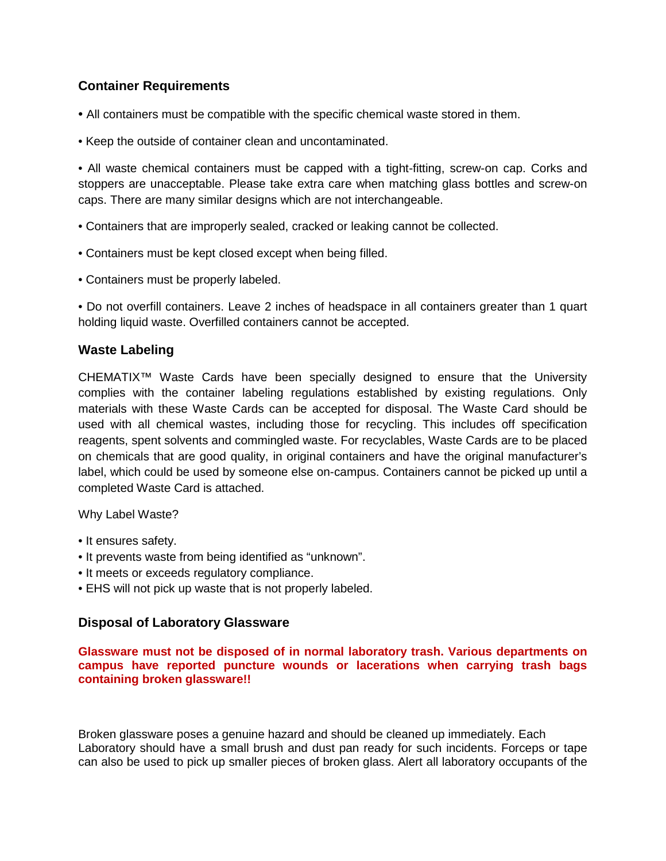# **Container Requirements**

- All containers must be compatible with the specific chemical waste stored in them.
- Keep the outside of container clean and uncontaminated.

• All waste chemical containers must be capped with a tight-fitting, screw-on cap. Corks and stoppers are unacceptable. Please take extra care when matching glass bottles and screw-on caps. There are many similar designs which are not interchangeable.

- Containers that are improperly sealed, cracked or leaking cannot be collected.
- Containers must be kept closed except when being filled.
- Containers must be properly labeled.

• Do not overfill containers. Leave 2 inches of headspace in all containers greater than 1 quart holding liquid waste. Overfilled containers cannot be accepted.

## **Waste Labeling**

CHEMATIX™ Waste Cards have been specially designed to ensure that the University complies with the container labeling regulations established by existing regulations. Only materials with these Waste Cards can be accepted for disposal. The Waste Card should be used with all chemical wastes, including those for recycling. This includes off specification reagents, spent solvents and commingled waste. For recyclables, Waste Cards are to be placed on chemicals that are good quality, in original containers and have the original manufacturer's label, which could be used by someone else on-campus. Containers cannot be picked up until a completed Waste Card is attached.

#### Why Label Waste?

- It ensures safety.
- It prevents waste from being identified as "unknown".
- It meets or exceeds regulatory compliance.
- EHS will not pick up waste that is not properly labeled.

#### **Disposal of Laboratory Glassware**

**Glassware must not be disposed of in normal laboratory trash. Various departments on campus have reported puncture wounds or lacerations when carrying trash bags containing broken glassware!!**

Broken glassware poses a genuine hazard and should be cleaned up immediately. Each Laboratory should have a small brush and dust pan ready for such incidents. Forceps or tape can also be used to pick up smaller pieces of broken glass. Alert all laboratory occupants of the